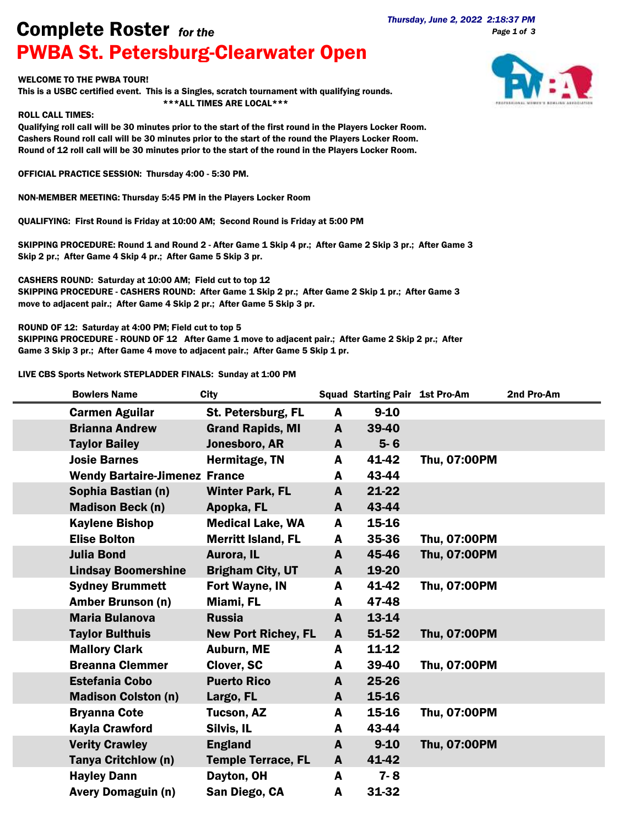*Page 1 of 3*

## *Thursday, June 2, 2022 2:18:37 PM* Complete Roster *for the* PWBA St. Petersburg-Clearwater Open

## WELCOME TO THE PWBA TOUR!

This is a USBC certified event. This is a Singles, scratch tournament with qualifying rounds. \*\*\*ALL TIMES ARE LOCAL\*\*\*

## ROLL CALL TIMES:

Qualifying roll call will be 30 minutes prior to the start of the first round in the Players Locker Room. Cashers Round roll call will be 30 minutes prior to the start of the round the Players Locker Room. Round of 12 roll call will be 30 minutes prior to the start of the round in the Players Locker Room.

OFFICIAL PRACTICE SESSION: Thursday 4:00 - 5:30 PM.

NON-MEMBER MEETING: Thursday 5:45 PM in the Players Locker Room

QUALIFYING: First Round is Friday at 10:00 AM; Second Round is Friday at 5:00 PM

SKIPPING PROCEDURE: Round 1 and Round 2 - After Game 1 Skip 4 pr.; After Game 2 Skip 3 pr.; After Game 3 Skip 2 pr.; After Game 4 Skip 4 pr.; After Game 5 Skip 3 pr.

CASHERS ROUND: Saturday at 10:00 AM; Field cut to top 12 SKIPPING PROCEDURE - CASHERS ROUND: After Game 1 Skip 2 pr.; After Game 2 Skip 1 pr.; After Game 3 move to adjacent pair.; After Game 4 Skip 2 pr.; After Game 5 Skip 3 pr.

ROUND OF 12: Saturday at 4:00 PM; Field cut to top 5

SKIPPING PROCEDURE - ROUND OF 12 After Game 1 move to adjacent pair.; After Game 2 Skip 2 pr.; After Game 3 Skip 3 pr.; After Game 4 move to adjacent pair.; After Game 5 Skip 1 pr.

LIVE CBS Sports Network STEPLADDER FINALS: Sunday at 1:00 PM

| <b>Bowlers Name</b>                  | <b>City</b>                |              | <b>Squad Starting Pair 1st Pro-Am</b> |              | 2nd Pro-Am |
|--------------------------------------|----------------------------|--------------|---------------------------------------|--------------|------------|
| <b>Carmen Aguilar</b>                | St. Petersburg, FL         | A            | $9 - 10$                              |              |            |
| <b>Brianna Andrew</b>                | <b>Grand Rapids, MI</b>    | $\mathbf{A}$ | 39-40                                 |              |            |
| <b>Taylor Bailey</b>                 | Jonesboro, AR              | A            | $5 - 6$                               |              |            |
| <b>Josie Barnes</b>                  | Hermitage, TN              | A            | 41-42                                 | Thu, 07:00PM |            |
| <b>Wendy Bartaire-Jimenez France</b> |                            | A            | 43-44                                 |              |            |
| Sophia Bastian (n)                   | <b>Winter Park, FL</b>     | A            | $21 - 22$                             |              |            |
| <b>Madison Beck (n)</b>              | Apopka, FL                 | A            | 43-44                                 |              |            |
| <b>Kaylene Bishop</b>                | <b>Medical Lake, WA</b>    | A            | 15-16                                 |              |            |
| <b>Elise Bolton</b>                  | <b>Merritt Island, FL</b>  | A            | 35-36                                 | Thu, 07:00PM |            |
| <b>Julia Bond</b>                    | Aurora, IL                 | $\mathbf{A}$ | 45-46                                 | Thu, 07:00PM |            |
| <b>Lindsay Boomershine</b>           | <b>Brigham City, UT</b>    | A            | 19-20                                 |              |            |
| <b>Sydney Brummett</b>               | Fort Wayne, IN             | A            | 41-42                                 | Thu, 07:00PM |            |
| <b>Amber Brunson (n)</b>             | Miami, FL                  | A            | 47-48                                 |              |            |
| <b>Maria Bulanova</b>                | <b>Russia</b>              | A            | 13-14                                 |              |            |
| <b>Taylor Bulthuis</b>               | <b>New Port Richey, FL</b> | A            | 51-52                                 | Thu, 07:00PM |            |
| <b>Mallory Clark</b>                 | Auburn, ME                 | A            | 11-12                                 |              |            |
| <b>Breanna Clemmer</b>               | Clover, SC                 | A            | 39-40                                 | Thu, 07:00PM |            |
| <b>Estefania Cobo</b>                | <b>Puerto Rico</b>         | A            | 25-26                                 |              |            |
| <b>Madison Colston (n)</b>           | Largo, FL                  | A            | 15-16                                 |              |            |
| <b>Bryanna Cote</b>                  | Tucson, AZ                 | A            | 15-16                                 | Thu, 07:00PM |            |
| <b>Kayla Crawford</b>                | Silvis, IL                 | A            | 43-44                                 |              |            |
| <b>Verity Crawley</b>                | <b>England</b>             | A            | $9 - 10$                              | Thu, 07:00PM |            |
| Tanya Critchlow (n)                  | <b>Temple Terrace, FL</b>  | A            | 41-42                                 |              |            |
| <b>Hayley Dann</b>                   | Dayton, OH                 | A            | $7 - 8$                               |              |            |
| <b>Avery Domaguin (n)</b>            | San Diego, CA              | A            | 31-32                                 |              |            |

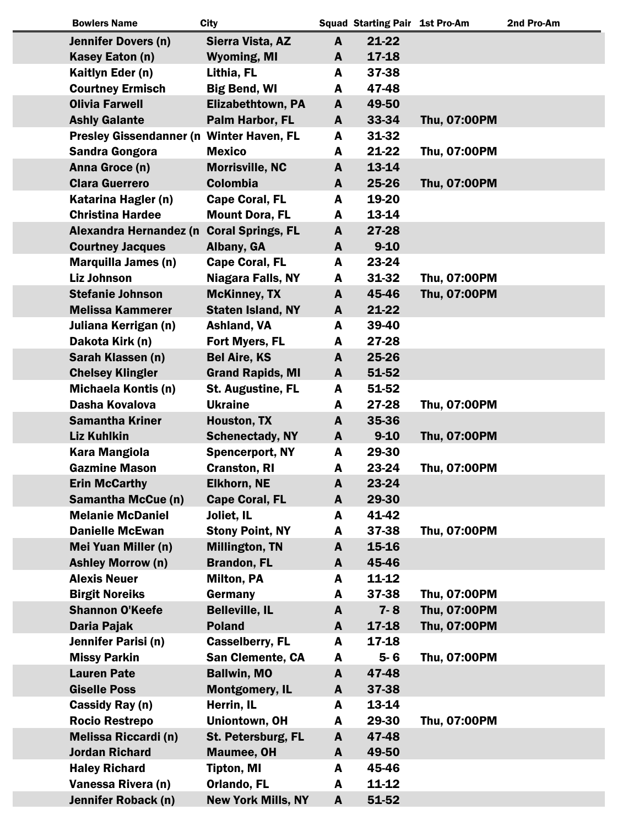| <b>Bowlers Name</b>                      | <b>City</b>               |              | <b>Squad Starting Pair 1st Pro-Am</b> |              | 2nd Pro-Am |
|------------------------------------------|---------------------------|--------------|---------------------------------------|--------------|------------|
| <b>Jennifer Dovers (n)</b>               | Sierra Vista, AZ          | $\mathbf{A}$ | $21 - 22$                             |              |            |
| Kasey Eaton (n)                          | <b>Wyoming, MI</b>        | A            | 17-18                                 |              |            |
| Kaitlyn Eder (n)                         | Lithia, FL                | A            | 37-38                                 |              |            |
| <b>Courtney Ermisch</b>                  | <b>Big Bend, WI</b>       | A            | 47-48                                 |              |            |
| <b>Olivia Farwell</b>                    | <b>Elizabethtown, PA</b>  | A            | 49-50                                 |              |            |
| <b>Ashly Galante</b>                     | Palm Harbor, FL           | A            | 33-34                                 | Thu, 07:00PM |            |
| Presley Gissendanner (n Winter Haven, FL |                           | A            | 31-32                                 |              |            |
| <b>Sandra Gongora</b>                    | <b>Mexico</b>             | A            | 21-22                                 | Thu, 07:00PM |            |
| Anna Groce (n)                           | <b>Morrisville, NC</b>    | A            | 13-14                                 |              |            |
| <b>Clara Guerrero</b>                    | <b>Colombia</b>           | A            | 25-26                                 | Thu, 07:00PM |            |
| Katarina Hagler (n)                      | <b>Cape Coral, FL</b>     | A            | 19-20                                 |              |            |
| <b>Christina Hardee</b>                  | <b>Mount Dora, FL</b>     | A            | 13-14                                 |              |            |
| Alexandra Hernandez (n                   | <b>Coral Springs, FL</b>  | A            | 27-28                                 |              |            |
| <b>Courtney Jacques</b>                  | Albany, GA                | A            | $9 - 10$                              |              |            |
| <b>Marquilla James (n)</b>               | <b>Cape Coral, FL</b>     | A            | 23-24                                 |              |            |
| <b>Liz Johnson</b>                       | <b>Niagara Falls, NY</b>  | A            | 31-32                                 | Thu, 07:00PM |            |
| <b>Stefanie Johnson</b>                  | <b>McKinney, TX</b>       | A            | 45-46                                 | Thu, 07:00PM |            |
| <b>Melissa Kammerer</b>                  | <b>Staten Island, NY</b>  | A            | 21-22                                 |              |            |
| Juliana Kerrigan (n)                     | Ashland, VA               | A            | 39-40                                 |              |            |
|                                          | Fort Myers, FL            | A            | 27-28                                 |              |            |
| Dakota Kirk (n)                          |                           |              |                                       |              |            |
| Sarah Klassen (n)                        | <b>Bel Aire, KS</b>       | A            | 25-26                                 |              |            |
| <b>Chelsey Klingler</b>                  | <b>Grand Rapids, MI</b>   | A            | 51-52                                 |              |            |
| <b>Michaela Kontis (n)</b>               | <b>St. Augustine, FL</b>  | A            | 51-52                                 |              |            |
| Dasha Kovalova                           | <b>Ukraine</b>            | A            | 27-28                                 | Thu, 07:00PM |            |
| <b>Samantha Kriner</b>                   | Houston, TX               | A            | 35-36                                 |              |            |
| <b>Liz Kuhlkin</b>                       | <b>Schenectady, NY</b>    | A            | $9 - 10$                              | Thu, 07:00PM |            |
| <b>Kara Mangiola</b>                     | <b>Spencerport, NY</b>    | A            | 29-30                                 |              |            |
| <b>Gazmine Mason</b>                     | <b>Cranston, RI</b>       | A            | 23-24                                 | Thu, 07:00PM |            |
| <b>Erin McCarthy</b>                     | <b>Elkhorn, NE</b>        | A            | 23-24                                 |              |            |
| <b>Samantha McCue (n)</b>                | <b>Cape Coral, FL</b>     | A            | 29-30                                 |              |            |
| <b>Melanie McDaniel</b>                  | Joliet, IL                | A            | 41-42                                 |              |            |
| <b>Danielle McEwan</b>                   | <b>Stony Point, NY</b>    | A            | 37-38                                 | Thu, 07:00PM |            |
| Mei Yuan Miller (n)                      | <b>Millington, TN</b>     | A            | 15-16                                 |              |            |
| <b>Ashley Morrow (n)</b>                 | <b>Brandon, FL</b>        | A            | 45-46                                 |              |            |
| <b>Alexis Neuer</b>                      | <b>Milton, PA</b>         | A            | 11-12                                 |              |            |
| <b>Birgit Noreiks</b>                    | Germany                   | A            | 37-38                                 | Thu, 07:00PM |            |
| <b>Shannon O'Keefe</b>                   | <b>Belleville, IL</b>     | A            | $7 - 8$                               | Thu, 07:00PM |            |
| Daria Pajak                              | <b>Poland</b>             | A            | 17-18                                 | Thu, 07:00PM |            |
| Jennifer Parisi (n)                      | <b>Casselberry, FL</b>    | A            | 17-18                                 |              |            |
| <b>Missy Parkin</b>                      | San Clemente, CA          | A            | $5-6$                                 | Thu, 07:00PM |            |
| <b>Lauren Pate</b>                       | <b>Ballwin, MO</b>        | A            | 47-48                                 |              |            |
| <b>Giselle Poss</b>                      | <b>Montgomery, IL</b>     | A            | 37-38                                 |              |            |
| Cassidy Ray (n)                          | Herrin, IL                | A            | 13-14                                 |              |            |
| <b>Rocio Restrepo</b>                    | Uniontown, OH             | A            | 29-30                                 | Thu, 07:00PM |            |
| <b>Melissa Riccardi (n)</b>              | St. Petersburg, FL        | A            | 47-48                                 |              |            |
| <b>Jordan Richard</b>                    | <b>Maumee, OH</b>         | A            | 49-50                                 |              |            |
| <b>Haley Richard</b>                     | <b>Tipton, MI</b>         | A            | 45-46                                 |              |            |
| Vanessa Rivera (n)                       | <b>Orlando, FL</b>        | A            | 11-12                                 |              |            |
| Jennifer Roback (n)                      | <b>New York Mills, NY</b> | A            | 51-52                                 |              |            |